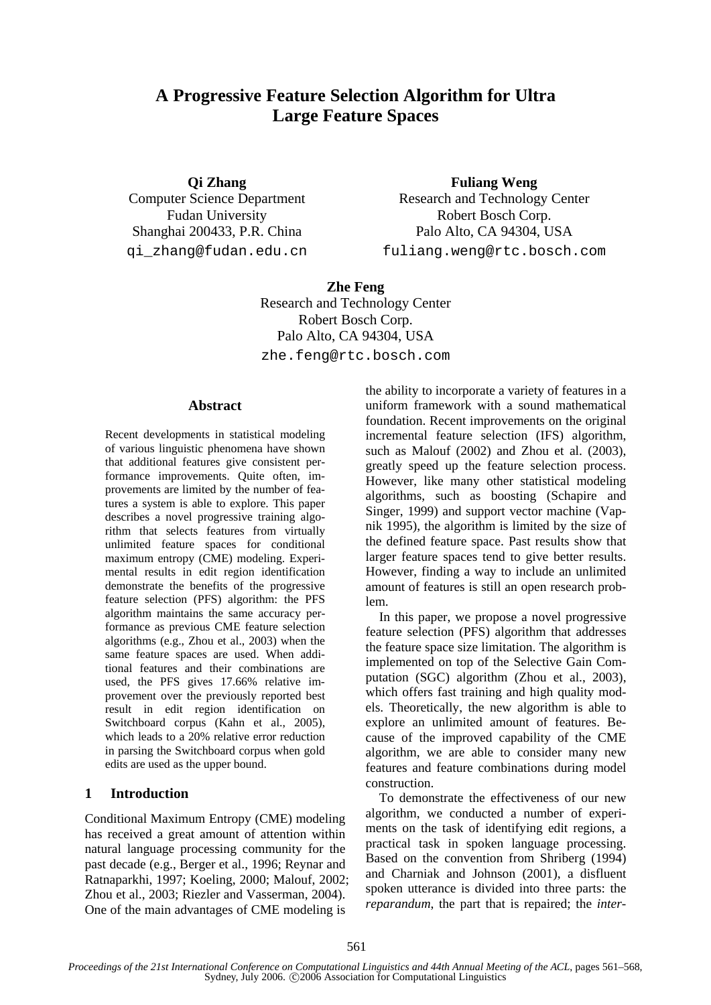# **A Progressive Feature Selection Algorithm for Ultra Large Feature Spaces**

**Qi Zhang** 

Computer Science Department Fudan University Shanghai 200433, P.R. China qi\_zhang@fudan.edu.cn

**Fuliang Weng**  Research and Technology Center Robert Bosch Corp. Palo Alto, CA 94304, USA

fuliang.weng@rtc.bosch.com

**Zhe Feng**  Research and Technology Center Robert Bosch Corp. Palo Alto, CA 94304, USA zhe.feng@rtc.bosch.com

### **Abstract**

Recent developments in statistical modeling of various linguistic phenomena have shown that additional features give consistent performance improvements. Quite often, improvements are limited by the number of features a system is able to explore. This paper describes a novel progressive training algorithm that selects features from virtually unlimited feature spaces for conditional maximum entropy (CME) modeling. Experimental results in edit region identification demonstrate the benefits of the progressive feature selection (PFS) algorithm: the PFS algorithm maintains the same accuracy performance as previous CME feature selection algorithms (e.g., Zhou et al., 2003) when the same feature spaces are used. When additional features and their combinations are used, the PFS gives 17.66% relative improvement over the previously reported best result in edit region identification on Switchboard corpus (Kahn et al., 2005), which leads to a 20% relative error reduction in parsing the Switchboard corpus when gold edits are used as the upper bound.

# **1 Introduction**

Conditional Maximum Entropy (CME) modeling has received a great amount of attention within natural language processing community for the past decade (e.g., Berger et al., 1996; Reynar and Ratnaparkhi, 1997; Koeling, 2000; Malouf, 2002; Zhou et al., 2003; Riezler and Vasserman, 2004). One of the main advantages of CME modeling is

the ability to incorporate a variety of features in a uniform framework with a sound mathematical foundation. Recent improvements on the original incremental feature selection (IFS) algorithm, such as Malouf (2002) and Zhou et al. (2003), greatly speed up the feature selection process. However, like many other statistical modeling algorithms, such as boosting (Schapire and Singer, 1999) and support vector machine (Vapnik 1995), the algorithm is limited by the size of the defined feature space. Past results show that larger feature spaces tend to give better results. However, finding a way to include an unlimited amount of features is still an open research problem.

In this paper, we propose a novel progressive feature selection (PFS) algorithm that addresses the feature space size limitation. The algorithm is implemented on top of the Selective Gain Computation (SGC) algorithm (Zhou et al., 2003), which offers fast training and high quality models. Theoretically, the new algorithm is able to explore an unlimited amount of features. Because of the improved capability of the CME algorithm, we are able to consider many new features and feature combinations during model construction.

To demonstrate the effectiveness of our new algorithm, we conducted a number of experiments on the task of identifying edit regions, a practical task in spoken language processing. Based on the convention from Shriberg (1994) and Charniak and Johnson (2001), a disfluent spoken utterance is divided into three parts: the *reparandum*, the part that is repaired; the *inter-*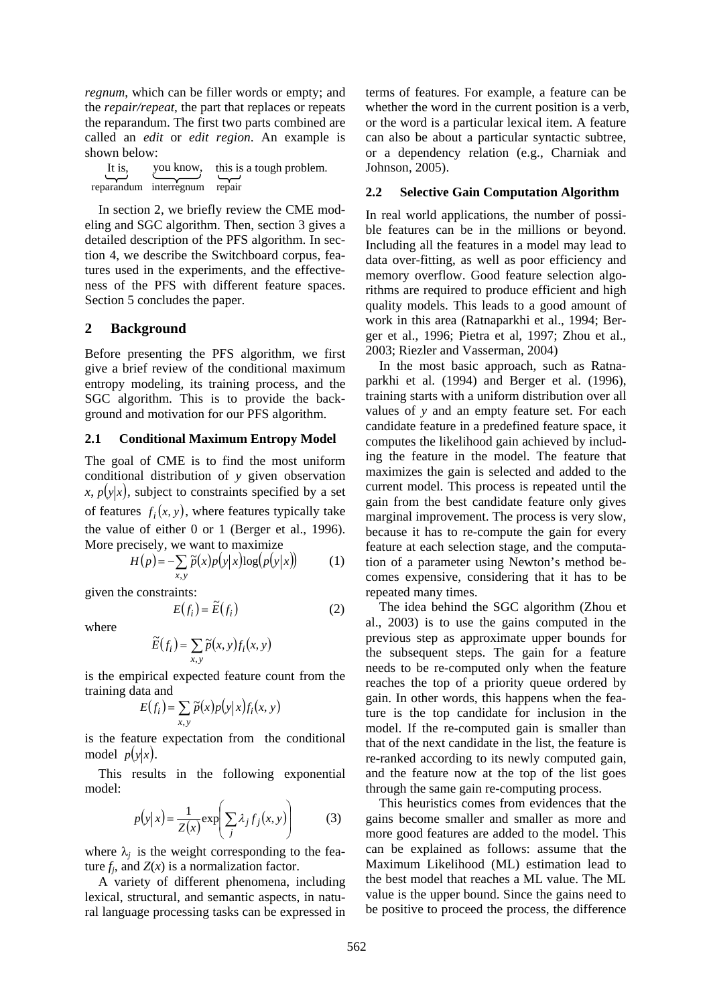*regnum*, which can be filler words or empty; and the *repair/repeat*, the part that replaces or repeats the reparandum. The first two parts combined are called an *edit* or *edit region*. An example is shown below:

| It is. |                        | you know, this is a tough problem. |
|--------|------------------------|------------------------------------|
|        |                        |                                    |
|        | reparandum interregnum | repair                             |

In section 2, we briefly review the CME modeling and SGC algorithm. Then, section 3 gives a detailed description of the PFS algorithm. In section 4, we describe the Switchboard corpus, features used in the experiments, and the effectiveness of the PFS with different feature spaces. Section 5 concludes the paper.

### **2 Background**

Before presenting the PFS algorithm, we first give a brief review of the conditional maximum entropy modeling, its training process, and the SGC algorithm. This is to provide the background and motivation for our PFS algorithm.

#### **2.1 Conditional Maximum Entropy Model**

The goal of CME is to find the most uniform conditional distribution of *y* given observation  $x, p(y|x)$ , subject to constraints specified by a set of features  $f_i(x, y)$ , where features typically take the value of either 0 or 1 (Berger et al., 1996). More precisely, we want to maximize

$$
H(p) = -\sum_{x,y} \tilde{p}(x)p(y|x)\log(p(y|x)) \tag{1}
$$

given the constraints:

$$
E(f_i) = \widetilde{E}(f_i)
$$
 (2)

where

$$
\widetilde{E}(f_i) = \sum_{x,y} \widetilde{p}(x,y) f_i(x,y)
$$

is the empirical expected feature count from the training data and

$$
E(f_i) = \sum_{x,y} \widetilde{p}(x) p(y|x) f_i(x, y)
$$

is the feature expectation from the conditional model  $p(y|x)$ .

This results in the following exponential model:

$$
p(y|x) = \frac{1}{Z(x)} \exp\left(\sum_{j} \lambda_j f_j(x, y)\right)
$$
 (3)

where  $\lambda_i$  is the weight corresponding to the feature  $f_i$ , and  $Z(x)$  is a normalization factor.

A variety of different phenomena, including lexical, structural, and semantic aspects, in natural language processing tasks can be expressed in terms of features. For example, a feature can be whether the word in the current position is a verb, or the word is a particular lexical item. A feature can also be about a particular syntactic subtree, or a dependency relation (e.g., Charniak and Johnson, 2005).

### **2.2 Selective Gain Computation Algorithm**

In real world applications, the number of possible features can be in the millions or beyond. Including all the features in a model may lead to data over-fitting, as well as poor efficiency and memory overflow. Good feature selection algorithms are required to produce efficient and high quality models. This leads to a good amount of work in this area (Ratnaparkhi et al., 1994; Berger et al., 1996; Pietra et al, 1997; Zhou et al., 2003; Riezler and Vasserman, 2004)

In the most basic approach, such as Ratnaparkhi et al. (1994) and Berger et al. (1996), training starts with a uniform distribution over all values of *y* and an empty feature set. For each candidate feature in a predefined feature space, it computes the likelihood gain achieved by including the feature in the model. The feature that maximizes the gain is selected and added to the current model. This process is repeated until the gain from the best candidate feature only gives marginal improvement. The process is very slow, because it has to re-compute the gain for every feature at each selection stage, and the computation of a parameter using Newton's method becomes expensive, considering that it has to be repeated many times.

The idea behind the SGC algorithm (Zhou et al., 2003) is to use the gains computed in the previous step as approximate upper bounds for the subsequent steps. The gain for a feature needs to be re-computed only when the feature reaches the top of a priority queue ordered by gain. In other words, this happens when the feature is the top candidate for inclusion in the model. If the re-computed gain is smaller than that of the next candidate in the list, the feature is re-ranked according to its newly computed gain, and the feature now at the top of the list goes through the same gain re-computing process.

This heuristics comes from evidences that the gains become smaller and smaller as more and more good features are added to the model. This can be explained as follows: assume that the Maximum Likelihood (ML) estimation lead to the best model that reaches a ML value. The ML value is the upper bound. Since the gains need to be positive to proceed the process, the difference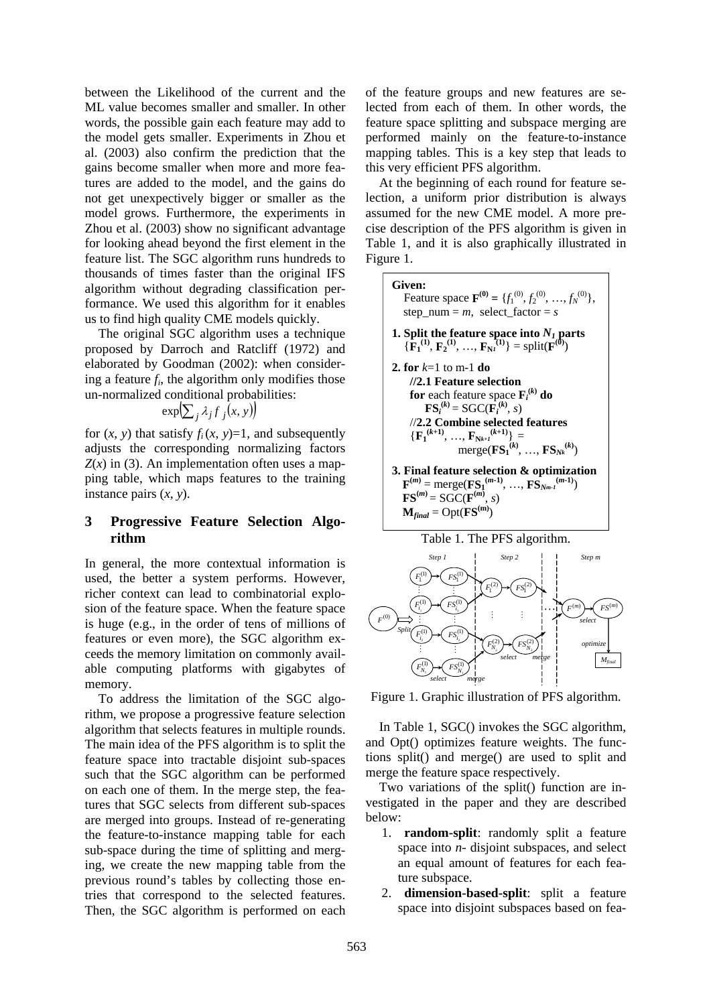between the Likelihood of the current and the ML value becomes smaller and smaller. In other words, the possible gain each feature may add to the model gets smaller. Experiments in Zhou et al. (2003) also confirm the prediction that the gains become smaller when more and more features are added to the model, and the gains do not get unexpectively bigger or smaller as the model grows. Furthermore, the experiments in Zhou et al. (2003) show no significant advantage for looking ahead beyond the first element in the feature list. The SGC algorithm runs hundreds to thousands of times faster than the original IFS algorithm without degrading classification performance. We used this algorithm for it enables us to find high quality CME models quickly.

The original SGC algorithm uses a technique proposed by Darroch and Ratcliff (1972) and elaborated by Goodman (2002): when considering a feature *fi*, the algorithm only modifies those un-normalized conditional probabilities:

$$
\exp\left(\sum_{j} \lambda_{j} f_{j}(x, y)\right)
$$

for  $(x, y)$  that satisfy  $f_i(x, y)=1$ , and subsequently adjusts the corresponding normalizing factors  $Z(x)$  in (3). An implementation often uses a mapping table, which maps features to the training instance pairs (*x, y*).

# **3 Progressive Feature Selection Algorithm**

In general, the more contextual information is used, the better a system performs. However, richer context can lead to combinatorial explosion of the feature space. When the feature space is huge (e.g., in the order of tens of millions of features or even more), the SGC algorithm exceeds the memory limitation on commonly available computing platforms with gigabytes of memory.

To address the limitation of the SGC algorithm, we propose a progressive feature selection algorithm that selects features in multiple rounds. The main idea of the PFS algorithm is to split the feature space into tractable disjoint sub-spaces such that the SGC algorithm can be performed on each one of them. In the merge step, the features that SGC selects from different sub-spaces are merged into groups. Instead of re-generating the feature-to-instance mapping table for each sub-space during the time of splitting and merging, we create the new mapping table from the previous round's tables by collecting those entries that correspond to the selected features. Then, the SGC algorithm is performed on each of the feature groups and new features are selected from each of them. In other words, the feature space splitting and subspace merging are performed mainly on the feature-to-instance mapping tables. This is a key step that leads to this very efficient PFS algorithm.

At the beginning of each round for feature selection, a uniform prior distribution is always assumed for the new CME model. A more precise description of the PFS algorithm is given in Table 1, and it is also graphically illustrated in Figure 1.





Figure 1. Graphic illustration of PFS algorithm.

In Table 1, SGC() invokes the SGC algorithm, and Opt() optimizes feature weights. The functions split() and merge() are used to split and merge the feature space respectively.

Two variations of the split() function are investigated in the paper and they are described below:

- 1. **random-split**: randomly split a feature space into *n*- disjoint subspaces, and select an equal amount of features for each feature subspace.
- 2. **dimension-based-split**: split a feature space into disjoint subspaces based on fea-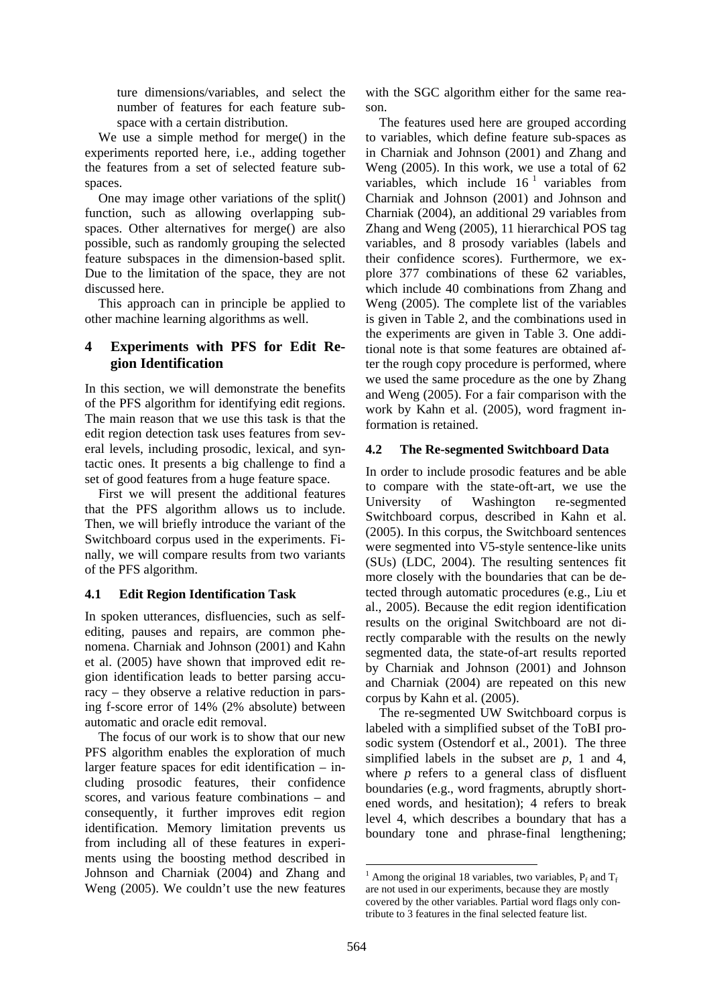ture dimensions/variables, and select the number of features for each feature subspace with a certain distribution.

We use a simple method for merge() in the experiments reported here, i.e., adding together the features from a set of selected feature subspaces.

One may image other variations of the split() function, such as allowing overlapping subspaces. Other alternatives for merge() are also possible, such as randomly grouping the selected feature subspaces in the dimension-based split. Due to the limitation of the space, they are not discussed here.

This approach can in principle be applied to other machine learning algorithms as well.

# **4 Experiments with PFS for Edit Region Identification**

In this section, we will demonstrate the benefits of the PFS algorithm for identifying edit regions. The main reason that we use this task is that the edit region detection task uses features from several levels, including prosodic, lexical, and syntactic ones. It presents a big challenge to find a set of good features from a huge feature space.

First we will present the additional features that the PFS algorithm allows us to include. Then, we will briefly introduce the variant of the Switchboard corpus used in the experiments. Finally, we will compare results from two variants of the PFS algorithm.

# **4.1 Edit Region Identification Task**

In spoken utterances, disfluencies, such as selfediting, pauses and repairs, are common phenomena. Charniak and Johnson (2001) and Kahn et al. (2005) have shown that improved edit region identification leads to better parsing accuracy – they observe a relative reduction in parsing f-score error of 14% (2% absolute) between automatic and oracle edit removal.

The focus of our work is to show that our new PFS algorithm enables the exploration of much larger feature spaces for edit identification – including prosodic features, their confidence scores, and various feature combinations – and consequently, it further improves edit region identification. Memory limitation prevents us from including all of these features in experiments using the boosting method described in Johnson and Charniak (2004) and Zhang and Weng (2005). We couldn't use the new features with the SGC algorithm either for the same reason.

The features used here are grouped according to variables, which define feature sub-spaces as in Charniak and Johnson (2001) and Zhang and Weng (2005). In this work, we use a total of 62 variables, which include  $16<sup>1</sup>$  variables from Charniak and Johnson (2001) and Johnson and Charniak (2004), an additional 29 variables from Zhang and Weng (2005), 11 hierarchical POS tag variables, and 8 prosody variables (labels and their confidence scores). Furthermore, we explore 377 combinations of these 62 variables, which include 40 combinations from Zhang and Weng (2005). The complete list of the variables is given in Table 2, and the combinations used in the experiments are given in Table 3. One additional note is that some features are obtained after the rough copy procedure is performed, where we used the same procedure as the one by Zhang and Weng (2005). For a fair comparison with the work by Kahn et al. (2005), word fragment information is retained.

# **4.2 The Re-segmented Switchboard Data**

In order to include prosodic features and be able to compare with the state-oft-art, we use the University of Washington re-segmented Switchboard corpus, described in Kahn et al. (2005). In this corpus, the Switchboard sentences were segmented into V5-style sentence-like units (SUs) (LDC, 2004). The resulting sentences fit more closely with the boundaries that can be detected through automatic procedures (e.g., Liu et al., 2005). Because the edit region identification results on the original Switchboard are not directly comparable with the results on the newly segmented data, the state-of-art results reported by Charniak and Johnson (2001) and Johnson and Charniak (2004) are repeated on this new corpus by Kahn et al. (2005).

The re-segmented UW Switchboard corpus is labeled with a simplified subset of the ToBI prosodic system (Ostendorf et al., 2001). The three simplified labels in the subset are *p*, 1 and 4, where *p* refers to a general class of disfluent boundaries (e.g., word fragments, abruptly shortened words, and hesitation); 4 refers to break level 4, which describes a boundary that has a boundary tone and phrase-final lengthening;

 <sup>1</sup> Among the original 18 variables, two variables,  $P_f$  and  $T_f$ are not used in our experiments, because they are mostly covered by the other variables. Partial word flags only contribute to 3 features in the final selected feature list.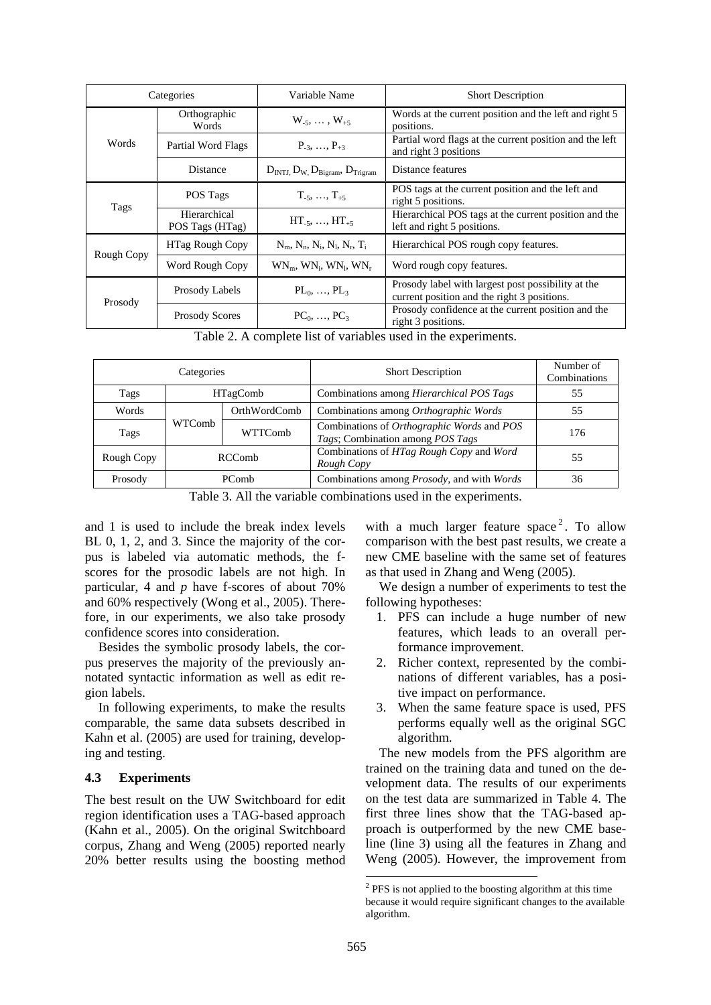| Categories                  |                                 | Variable Name                                 | <b>Short Description</b>                                                                          |
|-----------------------------|---------------------------------|-----------------------------------------------|---------------------------------------------------------------------------------------------------|
| Orthographic<br>Words       |                                 | $W_{-5}, \ldots, W_{+5}$                      | Words at the current position and the left and right 5<br>positions.                              |
| Words<br>Partial Word Flags |                                 | $P_{-3}, \ldots, P_{+3}$                      | Partial word flags at the current position and the left<br>and right 3 positions                  |
|                             | <b>Distance</b>                 | $DINTJ, DW, DBigram, DTrigram$                | Distance features                                                                                 |
| Tags                        | POS Tags                        | $T_{.5}, \ldots, T_{.5}$                      | POS tags at the current position and the left and<br>right 5 positions.                           |
|                             | Hierarchical<br>POS Tags (HTag) | $HT_{-5}, \ldots, HT_{+5}$                    | Hierarchical POS tags at the current position and the<br>left and right 5 positions.              |
| <b>HTag Rough Copy</b>      |                                 | $N_m$ , $N_n$ , $N_i$ , $N_l$ , $N_r$ , $T_i$ | Hierarchical POS rough copy features.                                                             |
| Rough Copy                  | Word Rough Copy                 | $WN_m$ , $WN_i$ , $WN_l$ , $WN_r$             | Word rough copy features.                                                                         |
| Prosody                     | Prosody Labels                  | $PL_0, , PL_3$                                | Prosody label with largest post possibility at the<br>current position and the right 3 positions. |
|                             | <b>Prosody Scores</b>           | $PC_0, , PC_3$                                | Prosody confidence at the current position and the<br>right 3 positions.                          |

Table 2. A complete list of variables used in the experiments.

| Categories |                   |              | <b>Short Description</b>                                                       | Number of<br>Combinations |
|------------|-------------------|--------------|--------------------------------------------------------------------------------|---------------------------|
| Tags       | <b>HTagComb</b>   |              | Combinations among <i>Hierarchical POS Tags</i>                                | 55                        |
| Words      |                   | OrthWordComb | Combinations among Orthographic Words                                          | 55                        |
| Tags       | WTComb<br>WTTComb |              | Combinations of Orthographic Words and POS<br>Tags; Combination among POS Tags | 176                       |
| Rough Copy | RCComb            |              | Combinations of HTag Rough Copy and Word<br>Rough Copy                         | 55                        |
| Prosody    | <b>PComb</b>      |              | Combinations among <i>Prosody</i> , and with <i>Words</i>                      | 36                        |

Table 3. All the variable combinations used in the experiments.

and 1 is used to include the break index levels BL 0, 1, 2, and 3. Since the majority of the corpus is labeled via automatic methods, the fscores for the prosodic labels are not high. In particular, 4 and *p* have f-scores of about 70% and 60% respectively (Wong et al., 2005). Therefore, in our experiments, we also take prosody confidence scores into consideration.

Besides the symbolic prosody labels, the corpus preserves the majority of the previously annotated syntactic information as well as edit region labels.

In following experiments, to make the results comparable, the same data subsets described in Kahn et al. (2005) are used for training, developing and testing.

# **4.3 Experiments**

The best result on the UW Switchboard for edit region identification uses a TAG-based approach (Kahn et al., 2005). On the original Switchboard corpus, Zhang and Weng (2005) reported nearly 20% better results using the boosting method

with a much larger feature space<sup>2</sup>. To allow comparison with the best past results, we create a new CME baseline with the same set of features as that used in Zhang and Weng (2005).

We design a number of experiments to test the following hypotheses:

- 1. PFS can include a huge number of new features, which leads to an overall performance improvement.
- 2. Richer context, represented by the combinations of different variables, has a positive impact on performance.
- 3. When the same feature space is used, PFS performs equally well as the original SGC algorithm.

The new models from the PFS algorithm are trained on the training data and tuned on the development data. The results of our experiments on the test data are summarized in Table 4. The first three lines show that the TAG-based approach is outperformed by the new CME baseline (line 3) using all the features in Zhang and Weng (2005). However, the improvement from

 $2$  PFS is not applied to the boosting algorithm at this time because it would require significant changes to the available algorithm.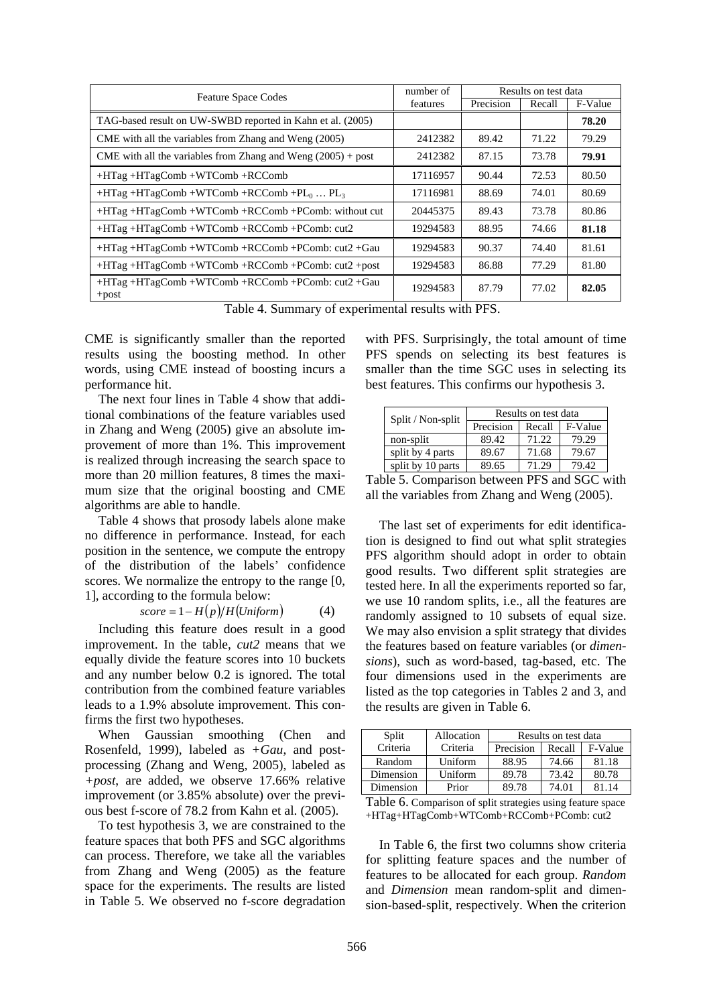| <b>Feature Space Codes</b>                                     | number of | Results on test data |        |         |
|----------------------------------------------------------------|-----------|----------------------|--------|---------|
|                                                                | features  | Precision            | Recall | F-Value |
| TAG-based result on UW-SWBD reported in Kahn et al. (2005)     |           |                      |        | 78.20   |
| CME with all the variables from Zhang and Weng (2005)          | 2412382   | 89.42                | 71.22  | 79.29   |
| CME with all the variables from Zhang and Weng $(2005) +$ post | 2412382   | 87.15                | 73.78  | 79.91   |
| $+HTag + HTagComb + WTComb + RCComb$                           | 17116957  | 90.44                | 72.53  | 80.50   |
| $+HTag + HTagComb + WTComb + RCComb + PL0  PL3$                | 17116981  | 88.69                | 74.01  | 80.69   |
| $+HTag +HTagComb + WTComb + RCComb + PComb$ : without cut      | 20445375  | 89.43                | 73.78  | 80.86   |
| +HTag +HTagComb +WTComb +RCComb +PComb: cut2                   | 19294583  | 88.95                | 74.66  | 81.18   |
| $+HTag +HTagComb + WTComb + RCComb + PComb: cut2 + Gau$        | 19294583  | 90.37                | 74.40  | 81.61   |
| $+HTag +HTagComb + WTComb + RCComb + PComb: cut2 + post$       | 19294583  | 86.88                | 77.29  | 81.80   |
| +HTag+HTagComb+WTComb+RCComb+PComb: cut2+Gau<br>$+$ post       | 19294583  | 87.79                | 77.02  | 82.05   |

Table 4. Summary of experimental results with PFS.

CME is significantly smaller than the reported results using the boosting method. In other words, using CME instead of boosting incurs a performance hit.

The next four lines in Table 4 show that additional combinations of the feature variables used in Zhang and Weng (2005) give an absolute improvement of more than 1%. This improvement is realized through increasing the search space to more than 20 million features, 8 times the maximum size that the original boosting and CME algorithms are able to handle.

Table 4 shows that prosody labels alone make no difference in performance. Instead, for each position in the sentence, we compute the entropy of the distribution of the labels' confidence scores. We normalize the entropy to the range [0, 1], according to the formula below:

$$
score = 1 - H(p)/H(Uniform)
$$
 (4)

Including this feature does result in a good improvement. In the table, *cut2* means that we equally divide the feature scores into 10 buckets and any number below 0.2 is ignored. The total contribution from the combined feature variables leads to a 1.9% absolute improvement. This confirms the first two hypotheses.

When Gaussian smoothing (Chen and Rosenfeld, 1999), labeled as *+Gau*, and postprocessing (Zhang and Weng, 2005), labeled as *+post*, are added, we observe 17.66% relative improvement (or 3.85% absolute) over the previous best f-score of 78.2 from Kahn et al. (2005).

To test hypothesis 3, we are constrained to the feature spaces that both PFS and SGC algorithms can process. Therefore, we take all the variables from Zhang and Weng (2005) as the feature space for the experiments. The results are listed in Table 5. We observed no f-score degradation

with PFS. Surprisingly, the total amount of time PFS spends on selecting its best features is smaller than the time SGC uses in selecting its best features. This confirms our hypothesis 3.

| Split / Non-split | Results on test data |        |         |  |
|-------------------|----------------------|--------|---------|--|
|                   | Precision            | Recall | F-Value |  |
| non-split         | 89.42                | 71.22  | 79.29   |  |
| split by 4 parts  | 89.67                | 71.68  | 79.67   |  |
| split by 10 parts | 89.65                | 71.29  | 79.42   |  |

Table 5. Comparison between PFS and SGC with all the variables from Zhang and Weng (2005).

The last set of experiments for edit identification is designed to find out what split strategies PFS algorithm should adopt in order to obtain good results. Two different split strategies are tested here. In all the experiments reported so far, we use 10 random splits, i.e., all the features are randomly assigned to 10 subsets of equal size. We may also envision a split strategy that divides the features based on feature variables (or *dimensions*), such as word-based, tag-based, etc. The four dimensions used in the experiments are listed as the top categories in Tables 2 and 3, and the results are given in Table 6.

| Split     | Allocation | Results on test data |        |         |
|-----------|------------|----------------------|--------|---------|
| Criteria  | Criteria   | Precision            | Recall | F-Value |
| Random    | Uniform    | 88.95                | 74.66  | 81.18   |
| Dimension | Uniform    | 89.78                | 73.42  | 80.78   |
| Dimension | Prior      | 89.78                | 74.01  | 81.14   |

Table 6. Comparison of split strategies using feature space +HTag+HTagComb+WTComb+RCComb+PComb: cut2

In Table 6, the first two columns show criteria for splitting feature spaces and the number of features to be allocated for each group. *Random* and *Dimension* mean random-split and dimension-based-split, respectively. When the criterion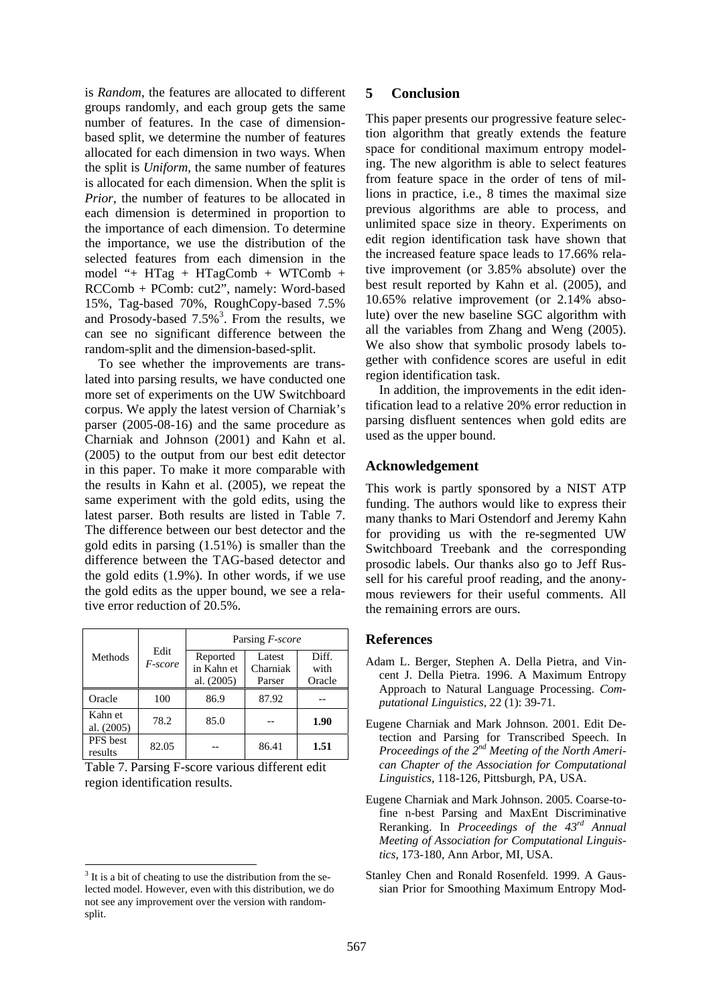is *Random*, the features are allocated to different groups randomly, and each group gets the same number of features. In the case of dimensionbased split, we determine the number of features allocated for each dimension in two ways. When the split is *Uniform*, the same number of features is allocated for each dimension. When the split is *Prior*, the number of features to be allocated in each dimension is determined in proportion to the importance of each dimension. To determine the importance, we use the distribution of the selected features from each dimension in the model "+ HTag + HTagComb + WTComb + RCComb + PComb: cut2", namely: Word-based 15%, Tag-based 70%, RoughCopy-based 7.5% and Prosody-based  $7.5\%$ <sup>3</sup>. From the results, we can see no significant difference between the random-split and the dimension-based-split.

To see whether the improvements are translated into parsing results, we have conducted one more set of experiments on the UW Switchboard corpus. We apply the latest version of Charniak's parser (2005-08-16) and the same procedure as Charniak and Johnson (2001) and Kahn et al. (2005) to the output from our best edit detector in this paper. To make it more comparable with the results in Kahn et al. (2005), we repeat the same experiment with the gold edits, using the latest parser. Both results are listed in Table 7. The difference between our best detector and the gold edits in parsing (1.51%) is smaller than the difference between the TAG-based detector and the gold edits (1.9%). In other words, if we use the gold edits as the upper bound, we see a relative error reduction of 20.5%.

|                       |                 | Parsing F-score                      |                              |                         |  |
|-----------------------|-----------------|--------------------------------------|------------------------------|-------------------------|--|
| Methods               | Edit<br>F-score | Reported<br>in Kahn et<br>al. (2005) | Latest<br>Charniak<br>Parser | Diff.<br>with<br>Oracle |  |
| Oracle                | 100             | 86.9                                 | 87.92                        |                         |  |
| Kahn et<br>al. (2005) | 78.2            | 85.0                                 |                              | 1.90                    |  |
| PFS best<br>results   | 82.05           |                                      | 86.41                        | 1.51                    |  |

| Table 7. Parsing F-score various different edit |
|-------------------------------------------------|
| region identification results.                  |

# **5 Conclusion**

This paper presents our progressive feature selection algorithm that greatly extends the feature space for conditional maximum entropy modeling. The new algorithm is able to select features from feature space in the order of tens of millions in practice, i.e., 8 times the maximal size previous algorithms are able to process, and unlimited space size in theory. Experiments on edit region identification task have shown that the increased feature space leads to 17.66% relative improvement (or 3.85% absolute) over the best result reported by Kahn et al. (2005), and 10.65% relative improvement (or 2.14% absolute) over the new baseline SGC algorithm with all the variables from Zhang and Weng (2005). We also show that symbolic prosody labels together with confidence scores are useful in edit region identification task.

In addition, the improvements in the edit identification lead to a relative 20% error reduction in parsing disfluent sentences when gold edits are used as the upper bound.

# **Acknowledgement**

This work is partly sponsored by a NIST ATP funding. The authors would like to express their many thanks to Mari Ostendorf and Jeremy Kahn for providing us with the re-segmented UW Switchboard Treebank and the corresponding prosodic labels. Our thanks also go to Jeff Russell for his careful proof reading, and the anonymous reviewers for their useful comments. All the remaining errors are ours.

# **References**

- Adam L. Berger, Stephen A. Della Pietra, and Vincent J. Della Pietra. 1996. A Maximum Entropy Approach to Natural Language Processing. *Computational Linguistics*, 22 (1): 39-71.
- Eugene Charniak and Mark Johnson. 2001. Edit Detection and Parsing for Transcribed Speech. In *Proceedings of the 2nd Meeting of the North American Chapter of the Association for Computational Linguistics*, 118-126, Pittsburgh, PA, USA.
- Eugene Charniak and Mark Johnson. 2005. Coarse-tofine n-best Parsing and MaxEnt Discriminative Reranking. In *Proceedings of the 43rd Annual Meeting of Association for Computational Linguistics*, 173-180, Ann Arbor, MI, USA.
- Stanley Chen and Ronald Rosenfeld. 1999. A Gaussian Prior for Smoothing Maximum Entropy Mod-

 $3$  It is a bit of cheating to use the distribution from the selected model. However, even with this distribution, we do not see any improvement over the version with randomsplit.